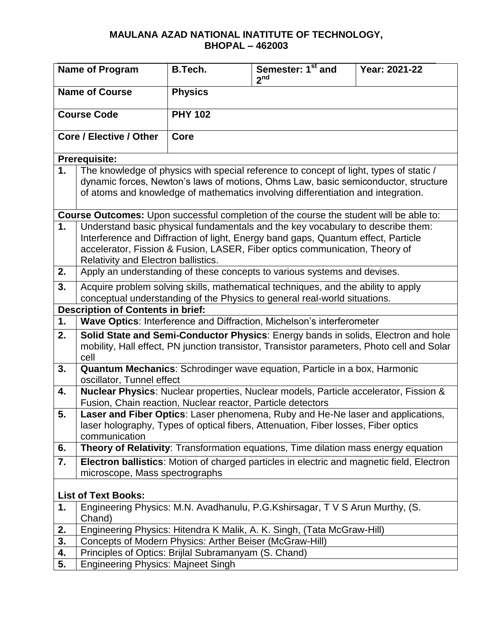| <b>Name of Program</b>         |                                                                                                                                                                                                                                                                                            | <b>B.Tech.</b> | Semester: 1 <sup>st</sup> and<br>2 <sup>nd</sup>                                                                                                                           | Year: 2021-22                                                                                                                                                                   |  |
|--------------------------------|--------------------------------------------------------------------------------------------------------------------------------------------------------------------------------------------------------------------------------------------------------------------------------------------|----------------|----------------------------------------------------------------------------------------------------------------------------------------------------------------------------|---------------------------------------------------------------------------------------------------------------------------------------------------------------------------------|--|
| <b>Name of Course</b>          |                                                                                                                                                                                                                                                                                            | <b>Physics</b> |                                                                                                                                                                            |                                                                                                                                                                                 |  |
| <b>Course Code</b>             |                                                                                                                                                                                                                                                                                            | <b>PHY 102</b> |                                                                                                                                                                            |                                                                                                                                                                                 |  |
| <b>Core / Elective / Other</b> |                                                                                                                                                                                                                                                                                            | Core           |                                                                                                                                                                            |                                                                                                                                                                                 |  |
|                                | <b>Prerequisite:</b>                                                                                                                                                                                                                                                                       |                |                                                                                                                                                                            |                                                                                                                                                                                 |  |
| 1.                             |                                                                                                                                                                                                                                                                                            |                | The knowledge of physics with special reference to concept of light, types of static /<br>of atoms and knowledge of mathematics involving differentiation and integration. | dynamic forces, Newton's laws of motions, Ohms Law, basic semiconductor, structure                                                                                              |  |
|                                |                                                                                                                                                                                                                                                                                            |                | Course Outcomes: Upon successful completion of the course the student will be able to:                                                                                     |                                                                                                                                                                                 |  |
| 1.                             | Understand basic physical fundamentals and the key vocabulary to describe them:<br>Interference and Diffraction of light, Energy band gaps, Quantum effect, Particle<br>accelerator, Fission & Fusion, LASER, Fiber optics communication, Theory of<br>Relativity and Electron ballistics. |                |                                                                                                                                                                            |                                                                                                                                                                                 |  |
| 2.                             |                                                                                                                                                                                                                                                                                            |                | Apply an understanding of these concepts to various systems and devises.                                                                                                   |                                                                                                                                                                                 |  |
| 3.                             | Acquire problem solving skills, mathematical techniques, and the ability to apply<br>conceptual understanding of the Physics to general real-world situations.                                                                                                                             |                |                                                                                                                                                                            |                                                                                                                                                                                 |  |
|                                | <b>Description of Contents in brief:</b>                                                                                                                                                                                                                                                   |                |                                                                                                                                                                            |                                                                                                                                                                                 |  |
| 1.                             |                                                                                                                                                                                                                                                                                            |                | Wave Optics: Interference and Diffraction, Michelson's interferometer                                                                                                      |                                                                                                                                                                                 |  |
| 2.                             | cell                                                                                                                                                                                                                                                                                       |                |                                                                                                                                                                            | Solid State and Semi-Conductor Physics: Energy bands in solids, Electron and hole<br>mobility, Hall effect, PN junction transistor, Transistor parameters, Photo cell and Solar |  |
| 3.                             | oscillator, Tunnel effect                                                                                                                                                                                                                                                                  |                | Quantum Mechanics: Schrodinger wave equation, Particle in a box, Harmonic                                                                                                  |                                                                                                                                                                                 |  |
| 4.                             | Fusion, Chain reaction, Nuclear reactor, Particle detectors                                                                                                                                                                                                                                |                | Nuclear Physics: Nuclear properties, Nuclear models, Particle accelerator, Fission &                                                                                       |                                                                                                                                                                                 |  |
| 5.                             | communication                                                                                                                                                                                                                                                                              |                | Laser and Fiber Optics: Laser phenomena, Ruby and He-Ne laser and applications,<br>laser holography, Types of optical fibers, Attenuation, Fiber losses, Fiber optics      |                                                                                                                                                                                 |  |
| 6.                             |                                                                                                                                                                                                                                                                                            |                | Theory of Relativity: Transformation equations, Time dilation mass energy equation                                                                                         |                                                                                                                                                                                 |  |
| 7.                             | microscope, Mass spectrographs                                                                                                                                                                                                                                                             |                |                                                                                                                                                                            | Electron ballistics: Motion of charged particles in electric and magnetic field, Electron                                                                                       |  |
| <b>List of Text Books:</b>     |                                                                                                                                                                                                                                                                                            |                |                                                                                                                                                                            |                                                                                                                                                                                 |  |
| 1.                             | Chand)                                                                                                                                                                                                                                                                                     |                | Engineering Physics: M.N. Avadhanulu, P.G.Kshirsagar, T V S Arun Murthy, (S.                                                                                               |                                                                                                                                                                                 |  |
| 2.                             |                                                                                                                                                                                                                                                                                            |                | Engineering Physics: Hitendra K Malik, A. K. Singh, (Tata McGraw-Hill)                                                                                                     |                                                                                                                                                                                 |  |
| 3.                             | Concepts of Modern Physics: Arther Beiser (McGraw-Hill)                                                                                                                                                                                                                                    |                |                                                                                                                                                                            |                                                                                                                                                                                 |  |
| 4.                             | Principles of Optics: Brijlal Subramanyam (S. Chand)                                                                                                                                                                                                                                       |                |                                                                                                                                                                            |                                                                                                                                                                                 |  |
| 5.                             | <b>Engineering Physics: Majneet Singh</b>                                                                                                                                                                                                                                                  |                |                                                                                                                                                                            |                                                                                                                                                                                 |  |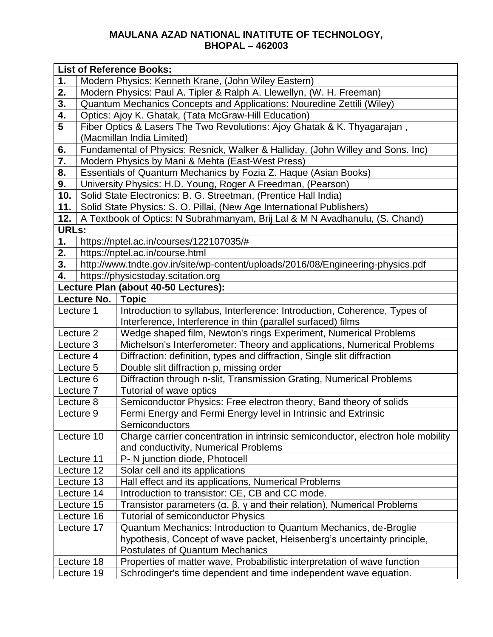|                                      | <b>List of Reference Books:</b>                                                 |                                                                                               |  |  |  |
|--------------------------------------|---------------------------------------------------------------------------------|-----------------------------------------------------------------------------------------------|--|--|--|
| 1.                                   | Modern Physics: Kenneth Krane, (John Wiley Eastern)                             |                                                                                               |  |  |  |
| 2.                                   | Modern Physics: Paul A. Tipler & Ralph A. Llewellyn, (W. H. Freeman)            |                                                                                               |  |  |  |
| 3.                                   | Quantum Mechanics Concepts and Applications: Nouredine Zettili (Wiley)          |                                                                                               |  |  |  |
| 4.                                   | Optics: Ajoy K. Ghatak, (Tata McGraw-Hill Education)                            |                                                                                               |  |  |  |
| $5\phantom{1}$                       |                                                                                 | Fiber Optics & Lasers The Two Revolutions: Ajoy Ghatak & K. Thyagarajan,                      |  |  |  |
|                                      | (Macmillan India Limited)                                                       |                                                                                               |  |  |  |
| 6.                                   | Fundamental of Physics: Resnick, Walker & Halliday, (John Willey and Sons. Inc) |                                                                                               |  |  |  |
| 7.                                   |                                                                                 | Modern Physics by Mani & Mehta (East-West Press)                                              |  |  |  |
| 8.                                   | Essentials of Quantum Mechanics by Fozia Z. Haque (Asian Books)                 |                                                                                               |  |  |  |
| 9.                                   |                                                                                 | University Physics: H.D. Young, Roger A Freedman, (Pearson)                                   |  |  |  |
| 10.                                  | Solid State Electronics: B. G. Streetman, (Prentice Hall India)                 |                                                                                               |  |  |  |
| 11.                                  | Solid State Physics: S. O. Pillai, (New Age International Publishers)           |                                                                                               |  |  |  |
| 12.                                  | A Textbook of Optics: N Subrahmanyam, Brij Lal & M N Avadhanulu, (S. Chand)     |                                                                                               |  |  |  |
| <b>URLs:</b>                         |                                                                                 |                                                                                               |  |  |  |
| 1.                                   |                                                                                 | https://nptel.ac.in/courses/122107035/#                                                       |  |  |  |
| 2.                                   |                                                                                 | https://nptel.ac.in/course.html                                                               |  |  |  |
| 3.                                   | http://www.tndte.gov.in/site/wp-content/uploads/2016/08/Engineering-physics.pdf |                                                                                               |  |  |  |
|                                      | 4.<br>https://physicstoday.scitation.org                                        |                                                                                               |  |  |  |
| Lecture Plan (about 40-50 Lectures): |                                                                                 |                                                                                               |  |  |  |
| Lecture No.                          |                                                                                 | <b>Topic</b>                                                                                  |  |  |  |
|                                      | Lecture 1                                                                       | Introduction to syllabus, Interference: Introduction, Coherence, Types of                     |  |  |  |
|                                      |                                                                                 | Interference, Interference in thin (parallel surfaced) films                                  |  |  |  |
|                                      | Lecture 2                                                                       | Wedge shaped film, Newton's rings Experiment, Numerical Problems                              |  |  |  |
|                                      | Lecture 3                                                                       | Michelson's Interferometer: Theory and applications, Numerical Problems                       |  |  |  |
|                                      | Lecture 4                                                                       | Diffraction: definition, types and diffraction, Single slit diffraction                       |  |  |  |
|                                      | Lecture 5                                                                       | Double slit diffraction p, missing order                                                      |  |  |  |
|                                      | Lecture 6                                                                       | Diffraction through n-slit, Transmission Grating, Numerical Problems                          |  |  |  |
| Lecture <sub>7</sub>                 |                                                                                 | Tutorial of wave optics                                                                       |  |  |  |
|                                      | Lecture 8                                                                       | Semiconductor Physics: Free electron theory, Band theory of solids                            |  |  |  |
|                                      | Lecture 9                                                                       | Fermi Energy and Fermi Energy level in Intrinsic and Extrinsic<br>Semiconductors              |  |  |  |
|                                      | Lecture 10                                                                      | Charge carrier concentration in intrinsic semiconductor, electron hole mobility               |  |  |  |
|                                      |                                                                                 | and conductivity, Numerical Problems                                                          |  |  |  |
|                                      |                                                                                 | P- N junction diode, Photocell                                                                |  |  |  |
| Lecture 11<br>Lecture 12             |                                                                                 | Solar cell and its applications                                                               |  |  |  |
| Lecture 13                           |                                                                                 | Hall effect and its applications, Numerical Problems                                          |  |  |  |
|                                      | Lecture 14                                                                      | Introduction to transistor: CE, CB and CC mode.                                               |  |  |  |
|                                      | Lecture 15                                                                      | Transistor parameters ( $\alpha$ , $\beta$ , $\gamma$ and their relation), Numerical Problems |  |  |  |
|                                      | Lecture 16                                                                      | <b>Tutorial of semiconductor Physics</b>                                                      |  |  |  |
|                                      | Lecture 17                                                                      | Quantum Mechanics: Introduction to Quantum Mechanics, de-Broglie                              |  |  |  |
|                                      |                                                                                 | hypothesis, Concept of wave packet, Heisenberg's uncertainty principle,                       |  |  |  |
|                                      |                                                                                 | <b>Postulates of Quantum Mechanics</b>                                                        |  |  |  |
|                                      | Lecture 18                                                                      | Properties of matter wave, Probabilistic interpretation of wave function                      |  |  |  |
|                                      | Lecture 19                                                                      | Schrodinger's time dependent and time independent wave equation.                              |  |  |  |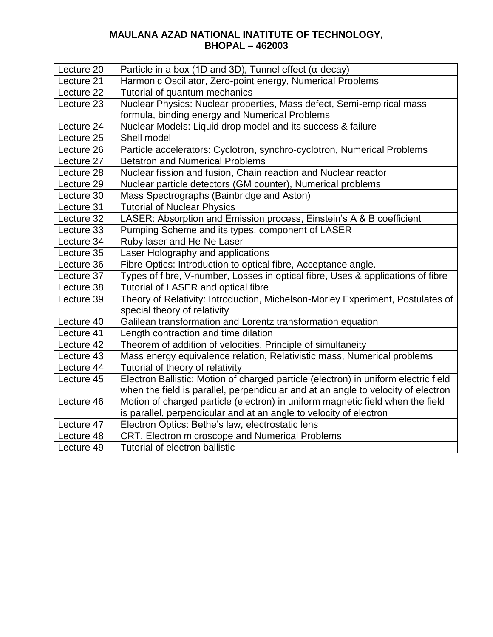| Lecture 20 | Particle in a box (1D and 3D), Tunnel effect ( $\alpha$ -decay)                     |
|------------|-------------------------------------------------------------------------------------|
| Lecture 21 | Harmonic Oscillator, Zero-point energy, Numerical Problems                          |
| Lecture 22 | Tutorial of quantum mechanics                                                       |
| Lecture 23 | Nuclear Physics: Nuclear properties, Mass defect, Semi-empirical mass               |
|            | formula, binding energy and Numerical Problems                                      |
| Lecture 24 | Nuclear Models: Liquid drop model and its success & failure                         |
| Lecture 25 | Shell model                                                                         |
| Lecture 26 | Particle accelerators: Cyclotron, synchro-cyclotron, Numerical Problems             |
| Lecture 27 | <b>Betatron and Numerical Problems</b>                                              |
| Lecture 28 | Nuclear fission and fusion, Chain reaction and Nuclear reactor                      |
| Lecture 29 | Nuclear particle detectors (GM counter), Numerical problems                         |
| Lecture 30 | Mass Spectrographs (Bainbridge and Aston)                                           |
| Lecture 31 | <b>Tutorial of Nuclear Physics</b>                                                  |
| Lecture 32 | LASER: Absorption and Emission process, Einstein's A & B coefficient                |
| Lecture 33 | Pumping Scheme and its types, component of LASER                                    |
| Lecture 34 | Ruby laser and He-Ne Laser                                                          |
| Lecture 35 | Laser Holography and applications                                                   |
| Lecture 36 | Fibre Optics: Introduction to optical fibre, Acceptance angle.                      |
| Lecture 37 | Types of fibre, V-number, Losses in optical fibre, Uses & applications of fibre     |
| Lecture 38 | <b>Tutorial of LASER and optical fibre</b>                                          |
| Lecture 39 | Theory of Relativity: Introduction, Michelson-Morley Experiment, Postulates of      |
|            | special theory of relativity                                                        |
| Lecture 40 | Galilean transformation and Lorentz transformation equation                         |
| Lecture 41 | Length contraction and time dilation                                                |
| Lecture 42 | Theorem of addition of velocities, Principle of simultaneity                        |
| Lecture 43 | Mass energy equivalence relation, Relativistic mass, Numerical problems             |
| Lecture 44 | Tutorial of theory of relativity                                                    |
| Lecture 45 | Electron Ballistic: Motion of charged particle (electron) in uniform electric field |
|            | when the field is parallel, perpendicular and at an angle to velocity of electron   |
| Lecture 46 | Motion of charged particle (electron) in uniform magnetic field when the field      |
|            | is parallel, perpendicular and at an angle to velocity of electron                  |
| Lecture 47 | Electron Optics: Bethe's law, electrostatic lens                                    |
| Lecture 48 | CRT, Electron microscope and Numerical Problems                                     |
| Lecture 49 | Tutorial of electron ballistic                                                      |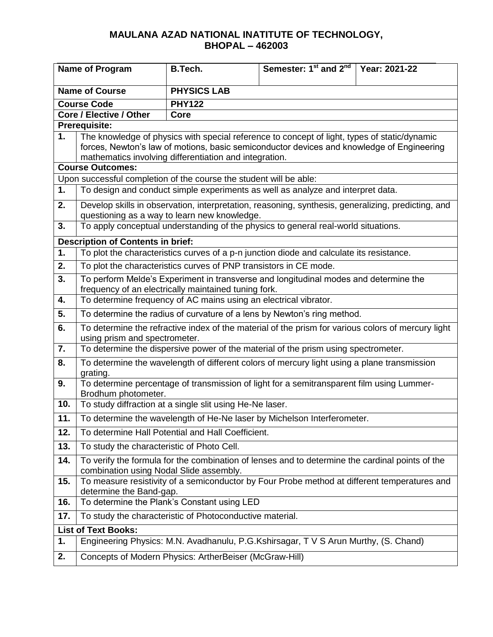| <b>Name of Program</b>  |                                                                                                                                     | <b>B.Tech.</b>                                                     | Semester: 1 <sup>st</sup> and 2 <sup>nd</sup> Year: 2021-22                                        |  |  |
|-------------------------|-------------------------------------------------------------------------------------------------------------------------------------|--------------------------------------------------------------------|----------------------------------------------------------------------------------------------------|--|--|
| <b>Name of Course</b>   |                                                                                                                                     | <b>PHYSICS LAB</b>                                                 |                                                                                                    |  |  |
|                         | <b>Course Code</b>                                                                                                                  | <b>PHY122</b>                                                      |                                                                                                    |  |  |
| Core / Elective / Other |                                                                                                                                     | Core                                                               |                                                                                                    |  |  |
|                         | Prerequisite:                                                                                                                       |                                                                    |                                                                                                    |  |  |
| 1.                      |                                                                                                                                     |                                                                    | The knowledge of physics with special reference to concept of light, types of static/dynamic       |  |  |
|                         |                                                                                                                                     |                                                                    | forces, Newton's law of motions, basic semiconductor devices and knowledge of Engineering          |  |  |
|                         | <b>Course Outcomes:</b>                                                                                                             | mathematics involving differentiation and integration.             |                                                                                                    |  |  |
|                         |                                                                                                                                     | Upon successful completion of the course the student will be able: |                                                                                                    |  |  |
| 1.                      |                                                                                                                                     |                                                                    | To design and conduct simple experiments as well as analyze and interpret data.                    |  |  |
|                         |                                                                                                                                     |                                                                    |                                                                                                    |  |  |
| 2.                      |                                                                                                                                     | questioning as a way to learn new knowledge.                       | Develop skills in observation, interpretation, reasoning, synthesis, generalizing, predicting, and |  |  |
| 3.                      |                                                                                                                                     |                                                                    | To apply conceptual understanding of the physics to general real-world situations.                 |  |  |
|                         |                                                                                                                                     |                                                                    |                                                                                                    |  |  |
| 1.                      | <b>Description of Contents in brief:</b>                                                                                            |                                                                    | To plot the characteristics curves of a p-n junction diode and calculate its resistance.           |  |  |
|                         |                                                                                                                                     |                                                                    |                                                                                                    |  |  |
| 2.                      |                                                                                                                                     | To plot the characteristics curves of PNP transistors in CE mode.  |                                                                                                    |  |  |
| 3.                      | To perform Melde's Experiment in transverse and longitudinal modes and determine the                                                |                                                                    |                                                                                                    |  |  |
| 4.                      | frequency of an electrically maintained tuning fork.<br>To determine frequency of AC mains using an electrical vibrator.            |                                                                    |                                                                                                    |  |  |
| 5.                      |                                                                                                                                     |                                                                    | To determine the radius of curvature of a lens by Newton's ring method.                            |  |  |
|                         |                                                                                                                                     |                                                                    |                                                                                                    |  |  |
| 6.                      | To determine the refractive index of the material of the prism for various colors of mercury light<br>using prism and spectrometer. |                                                                    |                                                                                                    |  |  |
| 7.                      |                                                                                                                                     |                                                                    | To determine the dispersive power of the material of the prism using spectrometer.                 |  |  |
| 8.                      | grating.                                                                                                                            |                                                                    | To determine the wavelength of different colors of mercury light using a plane transmission        |  |  |
| 9.                      | Brodhum photometer.                                                                                                                 |                                                                    | To determine percentage of transmission of light for a semitransparent film using Lummer-          |  |  |
| 10.                     |                                                                                                                                     | To study diffraction at a single slit using He-Ne laser.           |                                                                                                    |  |  |
| 11.                     |                                                                                                                                     |                                                                    | To determine the wavelength of He-Ne laser by Michelson Interferometer.                            |  |  |
| 12.                     |                                                                                                                                     | To determine Hall Potential and Hall Coefficient.                  |                                                                                                    |  |  |
| 13.                     | To study the characteristic of Photo Cell.                                                                                          |                                                                    |                                                                                                    |  |  |
| 14.                     | combination using Nodal Slide assembly.                                                                                             |                                                                    | To verify the formula for the combination of lenses and to determine the cardinal points of the    |  |  |
| 15.                     | determine the Band-gap.                                                                                                             |                                                                    | To measure resistivity of a semiconductor by Four Probe method at different temperatures and       |  |  |
| 16.                     |                                                                                                                                     | To determine the Plank's Constant using LED                        |                                                                                                    |  |  |
| 17.                     |                                                                                                                                     | To study the characteristic of Photoconductive material.           |                                                                                                    |  |  |
|                         | <b>List of Text Books:</b>                                                                                                          |                                                                    |                                                                                                    |  |  |
| 1.                      |                                                                                                                                     |                                                                    | Engineering Physics: M.N. Avadhanulu, P.G.Kshirsagar, T V S Arun Murthy, (S. Chand)                |  |  |
| 2.                      |                                                                                                                                     | Concepts of Modern Physics: ArtherBeiser (McGraw-Hill)             |                                                                                                    |  |  |